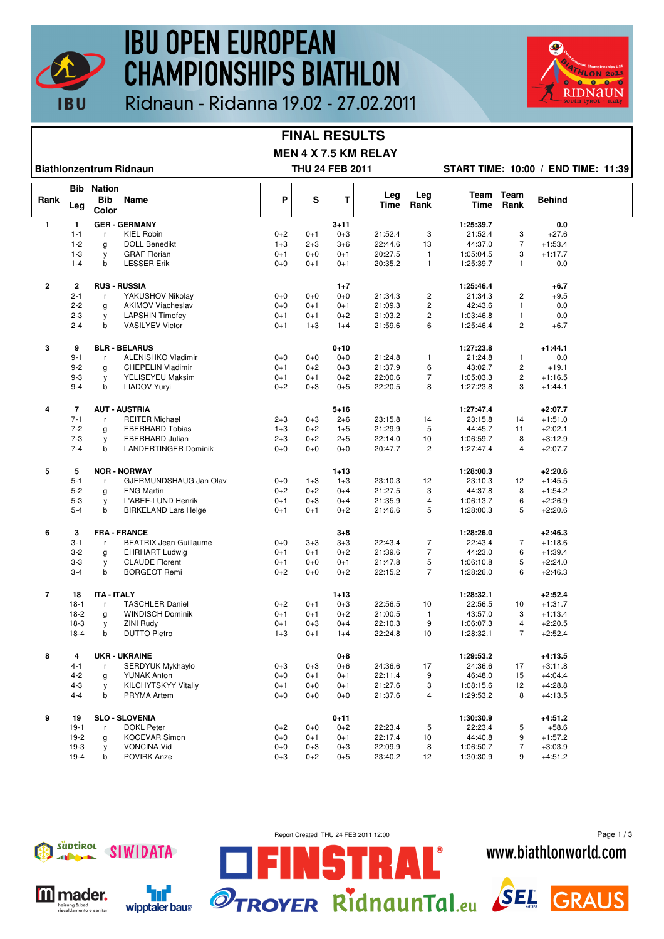

## **IBU OPEN EUROPEAN CHAMPIONSHIPS BIATHLON**



### Ridnaun - Ridanna 19.02 - 27.02.2011

#### **FINAL RESULTS MEN 4 X 7.5 KM RELAY**

**Biathlonzentrum Ridnaun THU 24 FEB 2011 START TIME: 10:00 / END TIME: 11:39**

|                |             | <b>Bib Nation</b>   |                                                |         |         |          |             |                |                      |                |               |  |
|----------------|-------------|---------------------|------------------------------------------------|---------|---------|----------|-------------|----------------|----------------------|----------------|---------------|--|
| Rank           | Leg         | <b>Bib</b><br>Color | Name                                           | P       | S       | T        | Leg<br>Time | Leg<br>Rank    | Team<br><b>Time</b>  | Team<br>Rank   | <b>Behind</b> |  |
| $\mathbf{1}$   | 1           |                     | <b>GER - GERMANY</b>                           |         |         | $3 + 11$ |             |                | 1:25:39.7            |                | 0.0           |  |
|                | $1 - 1$     | r                   | <b>KIEL Robin</b>                              | $0+2$   | $0 + 1$ | $0 + 3$  | 21:52.4     | 3              | 21:52.4              | 3              | $+27.6$       |  |
|                | $1 - 2$     | g                   | <b>DOLL Benedikt</b>                           | $1 + 3$ | $2 + 3$ | $3 + 6$  | 22:44.6     | 13             | 44:37.0              | $\overline{7}$ | $+1:53.4$     |  |
|                | $1 - 3$     | y                   | <b>GRAF Florian</b>                            | $0 + 1$ | $0 + 0$ | $0 + 1$  | 20:27.5     | 1              | 1:05:04.5            | 3              | $+1:17.7$     |  |
|                | $1 - 4$     | $\mathsf{b}$        | <b>LESSER Erik</b>                             | $0 + 0$ | $0 + 1$ | $0 + 1$  | 20:35.2     | $\mathbf{1}$   | 1:25:39.7            | $\mathbf{1}$   | 0.0           |  |
|                |             |                     |                                                |         |         |          |             |                |                      |                |               |  |
| $\overline{2}$ | $\mathbf 2$ |                     | <b>RUS - RUSSIA</b>                            |         |         | $1+7$    |             |                | 1:25:46.4            |                | $+6.7$        |  |
|                | $2 - 1$     | r                   | YAKUSHOV Nikolay                               | $0 + 0$ | $0 + 0$ | $0 + 0$  | 21:34.3     | $\overline{c}$ | 21:34.3              | $\overline{c}$ | $+9.5$        |  |
|                | $2 - 2$     | g                   | <b>AKIMOV Viacheslav</b>                       | $0+0$   | $0 + 1$ | $0 + 1$  | 21:09.3     | $\overline{c}$ | 42:43.6              | $\mathbf{1}$   | 0.0           |  |
|                | $2 - 3$     | y                   | <b>LAPSHIN Timofey</b>                         | $0 + 1$ | $0 + 1$ | $0 + 2$  | 21:03.2     | $\overline{c}$ | 1:03:46.8            | $\mathbf{1}$   | 0.0           |  |
|                | $2 - 4$     | $\mathsf{b}$        | <b>VASILYEV Victor</b>                         | $0 + 1$ | $1 + 3$ | $1+4$    | 21:59.6     | 6              | 1:25:46.4            | $\overline{2}$ | $+6.7$        |  |
|                |             |                     |                                                |         |         |          |             |                |                      |                |               |  |
| 3              | 9           |                     | <b>BLR - BELARUS</b>                           |         |         | $0 + 10$ |             |                | 1:27:23.8            |                | $+1:44.1$     |  |
|                | $9 - 1$     | r                   | <b>ALENISHKO Vladimir</b>                      | $0 + 0$ | $0 + 0$ | $0 + 0$  | 21:24.8     | 1              | 21:24.8              | $\mathbf{1}$   | 0.0           |  |
|                | $9 - 2$     | g                   | <b>CHEPELIN Vladimir</b>                       | $0 + 1$ | $0 + 2$ | $0 + 3$  | 21:37.9     | 6              | 43:02.7              | $\overline{2}$ | $+19.1$       |  |
|                | $9 - 3$     | y                   | YELISEYEU Maksim                               | $0 + 1$ | $0+1$   | $0 + 2$  | 22:00.6     | $\overline{7}$ | 1:05:03.3            | $\overline{c}$ | $+1:16.5$     |  |
|                | $9 - 4$     | b                   | LIADOV Yuryi                                   | $0+2$   | $0 + 3$ | $0 + 5$  | 22:20.5     | 8              | 1:27:23.8            | 3              | $+1:44.1$     |  |
|                |             |                     |                                                |         |         |          |             |                |                      |                |               |  |
| 4              | $\bf 7$     |                     | <b>AUT - AUSTRIA</b>                           |         |         | $5 + 16$ |             |                | 1:27:47.4            |                | $+2:07.7$     |  |
|                | $7 - 1$     | r                   | <b>REITER Michael</b>                          | $2 + 3$ | $0 + 3$ | $2 + 6$  | 23:15.8     | 14             | 23:15.8              | 14             | $+1:51.0$     |  |
|                | $7 - 2$     | g                   | <b>EBERHARD Tobias</b>                         | $1 + 3$ | $0 + 2$ | $1 + 5$  | 21:29.9     | 5              | 44:45.7              | 11             | $+2:02.1$     |  |
|                | $7 - 3$     | у                   | <b>EBERHARD Julian</b>                         | $2 + 3$ | $0 + 2$ | $2 + 5$  | 22:14.0     | 10             | 1:06:59.7            | 8              | $+3:12.9$     |  |
|                | $7 - 4$     | b                   | <b>LANDERTINGER Dominik</b>                    | $0 + 0$ | $0 + 0$ | $0 + 0$  | 20:47.7     | 2              | 1:27:47.4            | 4              | $+2:07.7$     |  |
|                |             |                     |                                                |         |         |          |             |                |                      |                |               |  |
| 5              | 5           |                     | <b>NOR - NORWAY</b>                            |         |         | $1 + 13$ |             |                | 1:28:00.3            |                | $+2:20.6$     |  |
|                | $5 - 1$     | r                   | GJERMUNDSHAUG Jan Olav                         | $0+0$   | $1 + 3$ | $1 + 3$  | 23:10.3     | 12             | 23:10.3              | 12             | $+1:45.5$     |  |
|                | $5 - 2$     | g                   | <b>ENG Martin</b>                              | $0 + 2$ | $0 + 2$ | $0 + 4$  | 21:27.5     | 3              | 44:37.8              | 8              | $+1:54.2$     |  |
|                | $5 - 3$     | y                   | L'ABEE-LUND Henrik                             | $0 + 1$ | $0 + 3$ | $0 + 4$  | 21:35.9     | $\overline{4}$ | 1:06:13.7            | 6              | $+2:26.9$     |  |
|                | $5 - 4$     | b                   | <b>BIRKELAND Lars Helge</b>                    | $0 + 1$ | $0 + 1$ | $0 + 2$  | 21:46.6     | 5              | 1:28:00.3            | 5              | $+2:20.6$     |  |
| 6              | 3           |                     | <b>FRA - FRANCE</b>                            |         |         | $3 + 8$  |             |                |                      |                | $+2:46.3$     |  |
|                | $3 - 1$     |                     | <b>BEATRIX Jean Guillaume</b>                  | $0 + 0$ | $3 + 3$ | $3+3$    | 22:43.4     | $\overline{7}$ | 1:28:26.0<br>22:43.4 | $\overline{7}$ | $+1:18.6$     |  |
|                | $3 - 2$     | r                   |                                                | $0 + 1$ | $0 + 1$ | $0+2$    | 21:39.6     | $\overline{7}$ | 44:23.0              | 6              | $+1:39.4$     |  |
|                | $3 - 3$     | g                   | <b>EHRHART Ludwig</b><br><b>CLAUDE Florent</b> | $0 + 1$ | $0 + 0$ | $0 + 1$  | 21:47.8     | 5              | 1:06:10.8            | 5              | $+2:24.0$     |  |
|                | $3 - 4$     | y<br>b              | <b>BORGEOT Remi</b>                            | $0+2$   | $0 + 0$ | $0 + 2$  | 22:15.2     | $\overline{7}$ | 1:28:26.0            | 6              | $+2:46.3$     |  |
|                |             |                     |                                                |         |         |          |             |                |                      |                |               |  |
| $\overline{7}$ | 18          | <b>ITA - ITALY</b>  |                                                |         |         | $1 + 13$ |             |                | 1:28:32.1            |                | $+2:52.4$     |  |
|                | $18-1$      | r                   | <b>TASCHLER Daniel</b>                         | $0+2$   | $0 + 1$ | $0 + 3$  | 22:56.5     | 10             | 22:56.5              | 10             | $+1:31.7$     |  |
|                | $18-2$      | g                   | <b>WINDISCH Dominik</b>                        | $0 + 1$ | $0 + 1$ | $0 + 2$  | 21:00.5     | $\mathbf{1}$   | 43:57.0              | 3              | $+1:13.4$     |  |
|                | $18-3$      | y                   | <b>ZINI Rudy</b>                               | $0 + 1$ | $0 + 3$ | $0 + 4$  | 22:10.3     | 9              | 1:06:07.3            | 4              | $+2:20.5$     |  |
|                | $18-4$      | b                   | <b>DUTTO Pietro</b>                            | $1 + 3$ | $0 + 1$ | $1+4$    | 22:24.8     | 10             | 1:28:32.1            | $\overline{7}$ | $+2:52.4$     |  |
|                |             |                     |                                                |         |         |          |             |                |                      |                |               |  |
| 8              | 4           |                     | <b>UKR - UKRAINE</b>                           |         |         | $0 + 8$  |             |                | 1:29:53.2            |                | $+4:13.5$     |  |
|                | $4 - 1$     | r                   | SERDYUK Mykhaylo                               | $0 + 3$ | $0 + 3$ | $0 + 6$  | 24:36.6     | 17             | 24:36.6              | 17             | $+3:11.8$     |  |
|                | $4 - 2$     | g                   | <b>YUNAK Anton</b>                             | $0+0$   | $0 + 1$ | $0 + 1$  | 22:11.4     | 9              | 46:48.0              | 15             | $+4:04.4$     |  |
|                | $4 - 3$     | y                   | <b>KILCHYTSKYY Vitaliy</b>                     | $0 + 1$ | $0 + 0$ | $0 + 1$  | 21:27.6     | 3              | 1:08:15.6            | 12             | $+4:28.8$     |  |
|                | $4 - 4$     | b                   | <b>PRYMA Artem</b>                             | $0 + 0$ | $0 + 0$ | $0 + 0$  | 21:37.6     | 4              | 1:29:53.2            | 8              | $+4:13.5$     |  |
|                |             |                     |                                                |         |         |          |             |                |                      |                |               |  |
| 9              | 19          |                     | <b>SLO - SLOVENIA</b>                          |         |         | $0 + 11$ |             |                | 1:30:30.9            |                | $+4:51.2$     |  |
|                | $19-1$      | r                   | <b>DOKL Peter</b>                              | $0+2$   | $0 + 0$ | $0+2$    | 22:23.4     | 5              | 22:23.4              | 5              | $+58.6$       |  |
|                | $19-2$      | g                   | <b>KOCEVAR Simon</b>                           | $0 + 0$ | $0 + 1$ | $0 + 1$  | 22:17.4     | 10             | 44:40.8              | 9              | $+1:57.2$     |  |
|                | $19-3$      | у                   | <b>VONCINA Vid</b>                             | $0 + 0$ | $0 + 3$ | $0 + 3$  | 22:09.9     | 8              | 1:06:50.7            | $\overline{7}$ | $+3:03.9$     |  |
|                | $19-4$      | b                   | <b>POVIRK Anze</b>                             | $0 + 3$ | $0 + 2$ | $0 + 5$  | 23:40.2     | 12             | 1:30:30.9            | 9              | $+4:51.2$     |  |
|                |             |                     |                                                |         |         |          |             |                |                      |                |               |  |



**M** mader.

eizung & bad<br>scaldamento e sanitar

٦ď

wipptaler baus

Report Created THU 24 FEB 2011 12:00

STRAL

Page 1 / 3www.biathlonworld.com

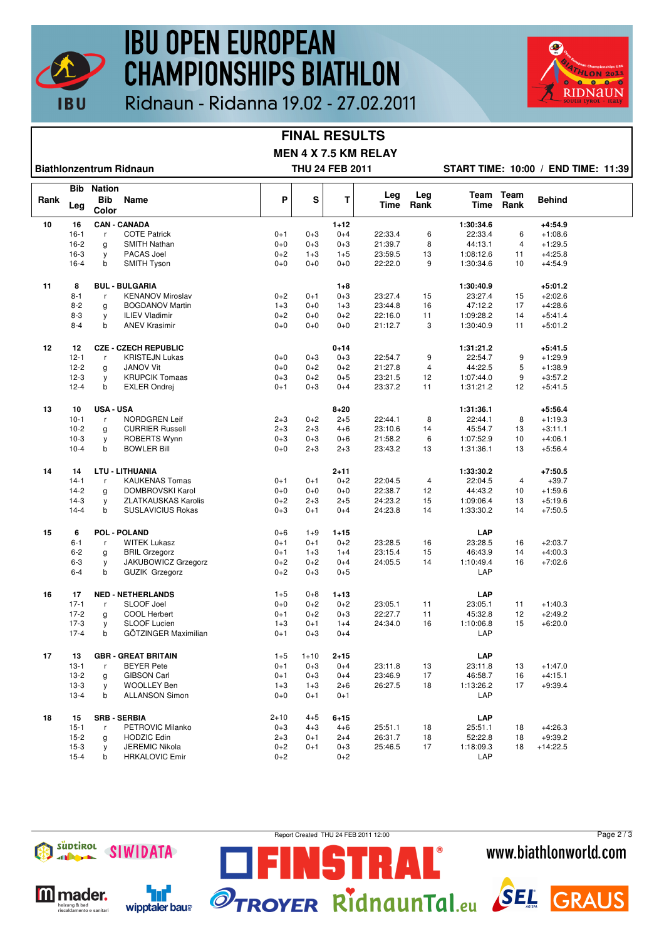

## **IBU OPEN EUROPEAN CHAMPIONSHIPS BIATHLON**



### Ridnaun - Ridanna 19.02 - 27.02.2011

#### **FINAL RESULTS MEN 4 X 7.5 KM RELAY**

**Biathlonzentrum Ridnaun THU 24 FEB 2011 START TIME: 10:00 / END TIME: 11:39**

|      | Bib      | Nation              |                             |          |          |          |             |                |             |                   |            |  |
|------|----------|---------------------|-----------------------------|----------|----------|----------|-------------|----------------|-------------|-------------------|------------|--|
| Rank | Leg      | <b>Bib</b><br>Color | Name                        | P        | S        | T        | Leg<br>Time | Leg<br>Rank    | <b>Time</b> | Team Team<br>Rank | Behind     |  |
| 10   | 16       |                     | <b>CAN - CANADA</b>         |          |          | $1 + 12$ |             |                | 1:30:34.6   |                   | $+4:54.9$  |  |
|      | $16-1$   | r                   | <b>COTE Patrick</b>         | $0 + 1$  | $0 + 3$  | $0 + 4$  | 22:33.4     | 6              | 22:33.4     | 6                 | $+1:08.6$  |  |
|      | $16 - 2$ | g                   | <b>SMITH Nathan</b>         | $0 + 0$  | $0 + 3$  | $0 + 3$  | 21:39.7     | 8              | 44:13.1     | $\overline{4}$    | $+1:29.5$  |  |
|      | $16-3$   | у                   | PACAS Joel                  | $0 + 2$  | $1 + 3$  | $1+5$    | 23:59.5     | 13             | 1:08:12.6   | 11                | $+4:25.8$  |  |
|      | $16 - 4$ | b                   | <b>SMITH Tyson</b>          | $0+0$    | $0+0$    | $0 + 0$  | 22:22.0     | 9              | 1:30:34.6   | 10                | $+4:54.9$  |  |
|      |          |                     |                             |          |          |          |             |                |             |                   |            |  |
| 11   | 8        |                     | <b>BUL - BULGARIA</b>       |          |          | $1 + 8$  |             |                | 1:30:40.9   |                   | $+5:01.2$  |  |
|      | $8 - 1$  | r                   | <b>KENANOV Miroslav</b>     | $0 + 2$  | $0 + 1$  | $0 + 3$  | 23:27.4     | 15             | 23:27.4     | 15                | $+2:02.6$  |  |
|      | $8 - 2$  | g                   | <b>BOGDANOV Martin</b>      | $1 + 3$  | $0 + 0$  | $1 + 3$  | 23:44.8     | 16             | 47:12.2     | 17                | $+4:28.6$  |  |
|      | $8 - 3$  | y                   | <b>ILIEV Vladimir</b>       | $0 + 2$  | $0 + 0$  | $0 + 2$  | 22:16.0     | 11             | 1:09:28.2   | 14                | $+5:41.4$  |  |
|      | $8 - 4$  | b                   | <b>ANEV Krasimir</b>        | $0+0$    | $0 + 0$  | $0 + 0$  | 21:12.7     | 3              | 1:30:40.9   | 11                | $+5:01.2$  |  |
|      |          |                     |                             |          |          |          |             |                |             |                   |            |  |
| 12   | 12       |                     | <b>CZE - CZECH REPUBLIC</b> |          |          | $0 + 14$ |             |                | 1:31:21.2   |                   | $+5:41.5$  |  |
|      | $12 - 1$ | r                   | <b>KRISTEJN Lukas</b>       | $0+0$    | $0 + 3$  | $0 + 3$  | 22:54.7     | 9              | 22:54.7     | 9                 | $+1:29.9$  |  |
|      | $12 - 2$ | g                   | <b>JANOV Vit</b>            | $0+0$    | $0 + 2$  | $0 + 2$  | 21:27.8     | $\overline{4}$ | 44:22.5     | 5                 | $+1:38.9$  |  |
|      | $12-3$   | y                   | <b>KRUPCIK Tomaas</b>       | $0 + 3$  | $0 + 2$  | $0 + 5$  | 23:21.5     | 12             | 1:07:44.0   | 9                 | $+3:57.2$  |  |
|      | $12 - 4$ | b                   | <b>EXLER Ondrej</b>         | $0 + 1$  | $0 + 3$  | $0 + 4$  | 23:37.2     | 11             | 1:31:21.2   | 12                | $+5:41.5$  |  |
|      |          |                     |                             |          |          |          |             |                |             |                   |            |  |
| 13   | 10       | <b>USA - USA</b>    |                             |          |          | $8 + 20$ |             |                | 1:31:36.1   |                   | $+5:56.4$  |  |
|      | $10-1$   | $\mathsf{r}$        | <b>NORDGREN Leif</b>        | $2 + 3$  | $0 + 2$  | $2 + 5$  | 22:44.1     | 8              | 22:44.1     | 8                 | $+1:19.3$  |  |
|      | $10-2$   | g                   | <b>CURRIER Russell</b>      | $2 + 3$  | $2 + 3$  | $4 + 6$  | 23:10.6     | 14             | 45:54.7     | 13                | $+3:11.1$  |  |
|      | $10-3$   | y                   | <b>ROBERTS Wynn</b>         | $0 + 3$  | $0 + 3$  | $0 + 6$  | 21:58.2     | 6              | 1:07:52.9   | 10                | $+4:06.1$  |  |
|      | $10-4$   | b                   | <b>BOWLER Bill</b>          | $0+0$    | $2 + 3$  | $2 + 3$  | 23:43.2     | 13             | 1:31:36.1   | 13                | $+5:56.4$  |  |
| 14   | 14       |                     | <b>LTU - LITHUANIA</b>      |          |          | $2 + 11$ |             |                | 1:33:30.2   |                   | $+7:50.5$  |  |
|      | $14-1$   | r                   | <b>KAUKENAS Tomas</b>       | $0 + 1$  | $0 + 1$  | $0 + 2$  | 22:04.5     | 4              | 22:04.5     | $\overline{4}$    | $+39.7$    |  |
|      | $14-2$   |                     | DOMBROVSKI Karol            | $0 + 0$  | $0 + 0$  | $0 + 0$  | 22:38.7     | 12             | 44:43.2     | 10                | $+1:59.6$  |  |
|      | $14-3$   | g                   | <b>ZLATKAUSKAS Karolis</b>  | $0+2$    | $2 + 3$  | $2 + 5$  | 24:23.2     | 15             | 1:09:06.4   | 13                | $+5:19.6$  |  |
|      | $14 - 4$ | у<br>b              |                             |          | $0 + 1$  | $0 + 4$  | 24:23.8     | 14             |             | 14                |            |  |
|      |          |                     | <b>SUSLAVICIUS Rokas</b>    | $0+3$    |          |          |             |                | 1:33:30.2   |                   | $+7:50.5$  |  |
| 15   | 6        |                     | POL - POLAND                | $0 + 6$  | $1 + 9$  | $1 + 15$ |             |                | LAP         |                   |            |  |
|      | $6 - 1$  | r                   | <b>WITEK Lukasz</b>         | $0 + 1$  | $0 + 1$  | $0 + 2$  | 23:28.5     | 16             | 23:28.5     | 16                | $+2:03.7$  |  |
|      | $6 - 2$  | g                   | <b>BRIL Grzegorz</b>        | $0 + 1$  | $1 + 3$  | $1 + 4$  | 23:15.4     | 15             | 46:43.9     | 14                | $+4:00.3$  |  |
|      | $6 - 3$  | у                   | JAKUBOWICZ Grzegorz         | $0 + 2$  | $0 + 2$  | $0 + 4$  | 24:05.5     | 14             | 1:10:49.4   | 16                | $+7:02.6$  |  |
|      | $6 - 4$  | b                   | <b>GUZIK Grzegorz</b>       | $0+2$    | $0 + 3$  | $0 + 5$  |             |                | LAP         |                   |            |  |
|      |          |                     |                             |          |          |          |             |                |             |                   |            |  |
| 16   | 17       |                     | <b>NED - NETHERLANDS</b>    | $1+5$    | $0 + 8$  | $1 + 13$ |             |                | LAP         |                   |            |  |
|      | $17-1$   | $\mathsf{r}$        | SLOOF Joel                  | $0+0$    | $0 + 2$  | $0 + 2$  | 23:05.1     | 11             | 23:05.1     | 11                | $+1:40.3$  |  |
|      | $17-2$   | g                   | COOL Herbert                | $0 + 1$  | $0 + 2$  | $0 + 3$  | 22:27.7     | 11             | 45:32.8     | 12                | $+2:49.2$  |  |
|      | $17-3$   | y                   | SLOOF Lucien                | $1 + 3$  | $0 + 1$  | $1+4$    | 24:34.0     | 16             | 1:10:06.8   | 15                | $+6:20.0$  |  |
|      | $17 - 4$ | b                   | GÖTZINGER Maximilian        | $0 + 1$  | $0 + 3$  | $0 + 4$  |             |                | LAP         |                   |            |  |
| 17   | 13       |                     | <b>GBR - GREAT BRITAIN</b>  | $1+5$    | $1 + 10$ | $2 + 15$ |             |                | LAP         |                   |            |  |
|      | $13-1$   | r                   | <b>BEYER Pete</b>           | $0 + 1$  | $0 + 3$  | $0 + 4$  | 23:11.8     | 13             | 23:11.8     | 13                | $+1:47.0$  |  |
|      |          |                     |                             |          |          |          |             |                |             |                   |            |  |
|      | $13 - 2$ | g                   | <b>GIBSON Carl</b>          | $0 + 1$  | $0 + 3$  | $0 + 4$  | 23:46.9     | 17             | 46:58.7     | 16                | $+4:15.1$  |  |
|      | $13-3$   | y                   | <b>WOOLLEY Ben</b>          | $1 + 3$  | $1 + 3$  | $2 + 6$  | 26:27.5     | 18             | 1:13:26.2   | 17                | $+9:39.4$  |  |
|      | $13 - 4$ | b                   | <b>ALLANSON Simon</b>       | $0+0$    | $0 + 1$  | $0 + 1$  |             |                | LAP         |                   |            |  |
| 18   | 15       |                     | <b>SRB - SERBIA</b>         | $2 + 10$ | $4 + 5$  | $6 + 15$ |             |                | <b>LAP</b>  |                   |            |  |
|      | $15 - 1$ | r                   | PETROVIC Milanko            | $0 + 3$  | $4 + 3$  | $4 + 6$  | 25:51.1     | 18             | 25:51.1     | 18                | $+4:26.3$  |  |
|      | $15 - 2$ | g                   | <b>HODZIC Edin</b>          | $2 + 3$  | $0 + 1$  | $2 + 4$  | 26:31.7     | 18             | 52:22.8     | 18                | $+9:39.2$  |  |
|      | $15-3$   | у                   | <b>JEREMIC Nikola</b>       | $0 + 2$  | $0 + 1$  | $0 + 3$  | 25:46.5     | 17             | 1:18:09.3   | 18                | $+14:22.5$ |  |
|      | $15 - 4$ | b                   | <b>HRKALOVIC Emir</b>       | $0 + 2$  |          | $0 + 2$  |             |                | LAP         |                   |            |  |
|      |          |                     |                             |          |          |          |             |                |             |                   |            |  |



**M** mader.

eizung & bad<br>scaldamento e sanitar

٦ď

wipptaler baus

Report Created THU 24 FEB 2011 12:00

STRAL

Page 2 / 3www.biathlonworld.com